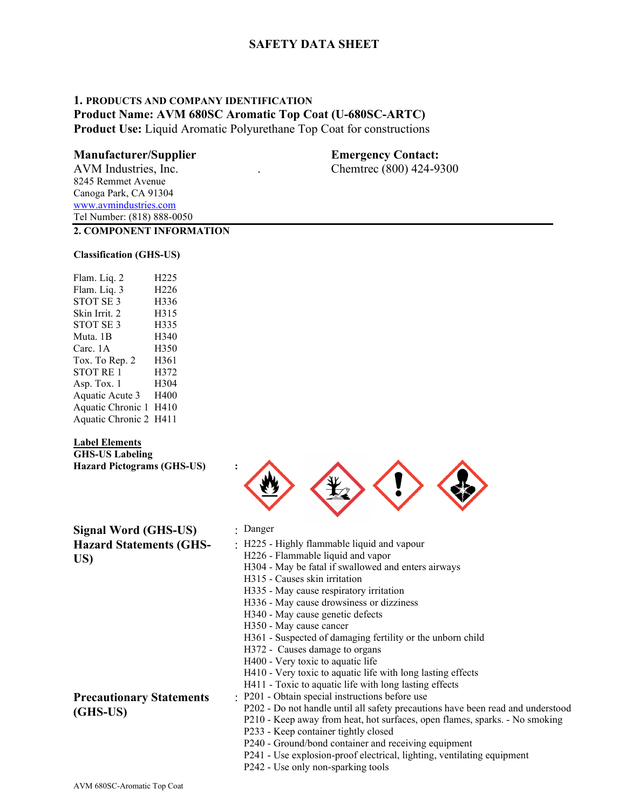# **SAFETY DATA SHEET**

# **1. PRODUCTS AND COMPANY IDENTIFICATION Product Name: AVM 680SC Aromatic Top Coat (U-680SC-ARTC) Product Use:** Liquid Aromatic Polyurethane Top Coat for constructions

## **Manufacturer/Supplier Emergency Contact:**

8245 Remmet Avenue Canoga Park, CA 91304 [www.avmindustries.com](http://www.avmindustries.com/) Tel Number: (818) 888-0050

AVM Industries, Inc. . Chemtrec (800) 424-9300

# **2. COMPONENT INFORMATION**

#### **Classification (GHS-US)**

| H <sub>225</sub>       |
|------------------------|
| H <sub>226</sub>       |
| H336                   |
| H315                   |
| H335                   |
| H340                   |
| H <sub>350</sub>       |
| H <sub>361</sub>       |
| H372                   |
| H304                   |
| H400                   |
| Aquatic Chronic 1 H410 |
| Aquatic Chronic 2 H411 |
|                        |

#### **Label Elements**

**GHS-US Labeling Hazard Pictograms (GHS-US) :**

**Signal Word (GHS-US)** : Danger **Hazard Statements (GHS-US)**

# **Precautionary Statements (GHS-US)**



- : H225 Highly flammable liquid and vapour
	- H226 Flammable liquid and vapor
	- H304 May be fatal if swallowed and enters airways
	- H315 Causes skin irritation
	- H335 May cause respiratory irritation
- H336 May cause drowsiness or dizziness
- H340 May cause genetic defects
- H350 May cause cancer
- H361 Suspected of damaging fertility or the unborn child
- H372 Causes damage to organs
- H400 Very toxic to aquatic life
- H410 Very toxic to aquatic life with long lasting effects
- H411 Toxic to aquatic life with long lasting effects
- : P201 Obtain special instructions before use
- P202 Do not handle until all safety precautions have been read and understood
- P210 Keep away from heat, hot surfaces, open flames, sparks. No smoking
- P233 Keep container tightly closed
- P240 Ground/bond container and receiving equipment
- P241 Use explosion-proof electrical, lighting, ventilating equipment
- P242 Use only non-sparking tools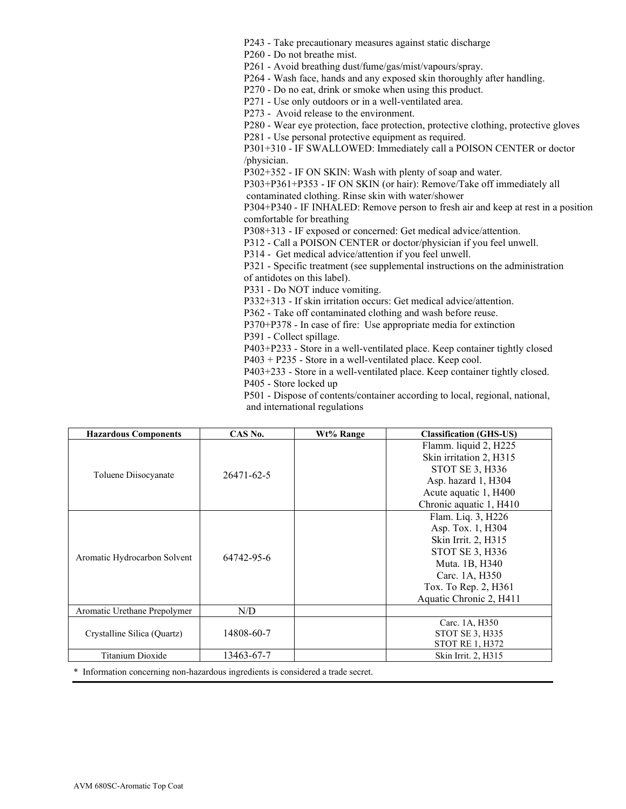P243 - Take precautionary measures against static discharge

P260 - Do not breathe mist.

P261 - Avoid breathing dust/fume/gas/mist/vapours/spray.

P264 - Wash face, hands and any exposed skin thoroughly after handling.

P270 - Do no eat, drink or smoke when using this product.

P271 - Use only outdoors or in a well-ventilated area.

P273 - Avoid release to the environment.

P280 - Wear eye protection, face protection, protective clothing, protective gloves P281 - Use personal protective equipment as required.

P301+310 - IF SWALLOWED: Immediately call a POISON CENTER or doctor /physician.

P302+352 - IF ON SKIN: Wash with plenty of soap and water.

P303+P361+P353 - IF ON SKIN (or hair): Remove/Take off immediately all

contaminated clothing. Rinse skin with water/shower

P304+P340 - IF INHALED: Remove person to fresh air and keep at rest in a position comfortable for breathing

P308+313 - IF exposed or concerned: Get medical advice/attention.

P312 - Call a POISON CENTER or doctor/physician if you feel unwell.

P314 - Get medical advice/attention if you feel unwell.

P321 - Specific treatment (see supplemental instructions on the administration of antidotes on this label).

P331 - Do NOT induce vomiting.

P332+313 - If skin irritation occurs: Get medical advice/attention.

P362 - Take off contaminated clothing and wash before reuse.

P370+P378 - In case of fire: Use appropriate media for extinction

P391 - Collect spillage.

P403+P233 - Store in a well-ventilated place. Keep container tightly closed P403 + P235 - Store in a well-ventilated place. Keep cool.

P403+233 - Store in a well-ventilated place. Keep container tightly closed. P405 - Store locked up

P501 - Dispose of contents/container according to local, regional, national, and international regulations

| <b>Hazardous Components</b>  | CAS No.    | Wt% Range | <b>Classification (GHS-US)</b> |
|------------------------------|------------|-----------|--------------------------------|
|                              |            |           | Flamm. liquid 2, H225          |
|                              |            |           | Skin irritation 2, H315        |
|                              | 26471-62-5 |           | STOT SE 3, H336                |
| Toluene Diisocyanate         |            |           | Asp. hazard 1, H304            |
|                              |            |           | Acute aquatic 1, H400          |
|                              |            |           | Chronic aquatic 1, H410        |
|                              |            |           | Flam. Liq. 3, H226             |
| Aromatic Hydrocarbon Solvent |            |           | Asp. Tox. 1, H304              |
|                              |            |           | Skin Irrit. 2, H315            |
|                              | 64742-95-6 |           | STOT SE 3, H336                |
|                              |            |           | Muta. 1B, H340                 |
|                              |            |           | Carc. 1A, H350                 |
|                              |            |           | Tox. To Rep. 2, H361           |
|                              |            |           | Aquatic Chronic 2, H411        |
| Aromatic Urethane Prepolymer | N/D        |           |                                |
| Crystalline Silica (Quartz)  |            |           | Carc. 1A, H350                 |
|                              | 14808-60-7 |           | <b>STOT SE 3, H335</b>         |
|                              |            |           | <b>STOT RE 1, H372</b>         |
| Titanium Dioxide             | 13463-67-7 |           | Skin Irrit. 2, H315            |

\* Information concerning non-hazardous ingredients is considered a trade secret.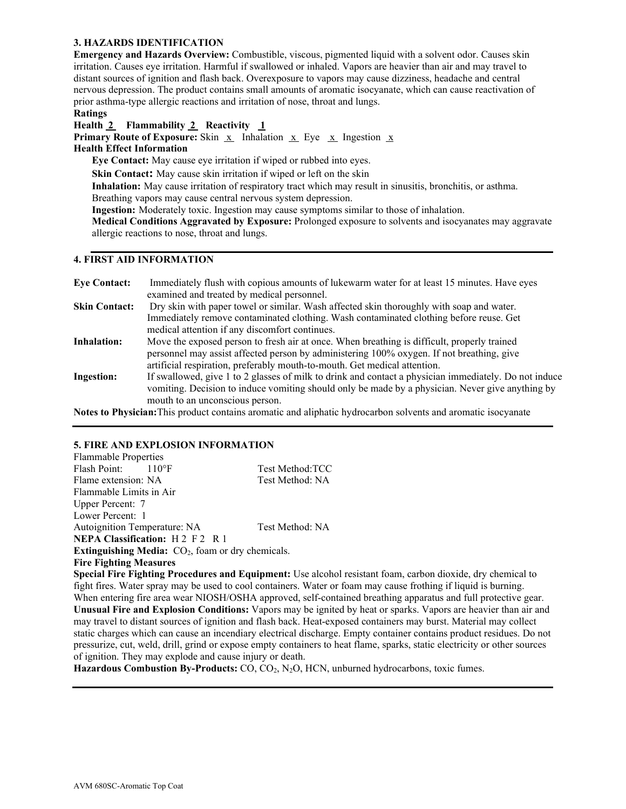#### **3. HAZARDS IDENTIFICATION**

**Emergency and Hazards Overview:** Combustible, viscous, pigmented liquid with a solvent odor. Causes skin irritation. Causes eye irritation. Harmful if swallowed or inhaled. Vapors are heavier than air and may travel to distant sources of ignition and flash back. Overexposure to vapors may cause dizziness, headache and central nervous depression. The product contains small amounts of aromatic isocyanate, which can cause reactivation of prior asthma-type allergic reactions and irritation of nose, throat and lungs.

#### **Ratings**

Health 2 Flammability 2 Reactivity 1 **Primary Route of Exposure:** Skin x Inhalation x Eye x Ingestion x **Health Effect Information Eye Contact:** May cause eye irritation if wiped or rubbed into eyes.

**Skin Contact:** May cause skin irritation if wiped or left on the skin

**Inhalation:** May cause irritation of respiratory tract which may result in sinusitis, bronchitis, or asthma. Breathing vapors may cause central nervous system depression.

**Ingestion:** Moderately toxic. Ingestion may cause symptoms similar to those of inhalation.

**Medical Conditions Aggravated by Exposure:** Prolonged exposure to solvents and isocyanates may aggravate allergic reactions to nose, throat and lungs.

#### **4. FIRST AID INFORMATION**

**Eye Contact:** Immediately flush with copious amounts of lukewarm water for at least 15 minutes. Have eyes examined and treated by medical personnel. **Skin Contact:** Dry skin with paper towel or similar. Wash affected skin thoroughly with soap and water. Immediately remove contaminated clothing. Wash contaminated clothing before reuse. Get medical attention if any discomfort continues. **Inhalation:** Move the exposed person to fresh air at once. When breathing is difficult, properly trained personnel may assist affected person by administering 100% oxygen. If not breathing, give artificial respiration, preferably mouth-to-mouth. Get medical attention. **Ingestion:** If swallowed, give 1 to 2 glasses of milk to drink and contact a physician immediately. Do not induce vomiting. Decision to induce vomiting should only be made by a physician. Never give anything by mouth to an unconscious person.

**Notes to Physician:**This product contains aromatic and aliphatic hydrocarbon solvents and aromatic isocyanate

### **5. FIRE AND EXPLOSION INFORMATION**

| <b>Flammable Properties</b>                                |                                                                                                                    |
|------------------------------------------------------------|--------------------------------------------------------------------------------------------------------------------|
| Flash Point:<br>$110^{\circ}$ F                            | Test Method:TCC                                                                                                    |
| Flame extension: NA                                        | Test Method: NA                                                                                                    |
| Flammable Limits in Air                                    |                                                                                                                    |
| <b>Upper Percent:</b> 7                                    |                                                                                                                    |
| Lower Percent: 1                                           |                                                                                                                    |
| Autoignition Temperature: NA                               | Test Method: NA                                                                                                    |
| <b>NEPA Classification:</b> $H2F2R1$                       |                                                                                                                    |
| <b>Extinguishing Media:</b> $CO2$ , foam or dry chemicals. |                                                                                                                    |
| <b>Fire Fighting Measures</b>                              |                                                                                                                    |
|                                                            | <b>Special Fire Fighting Procedures and Equipment:</b> Use alcohol resistant foam, carbon dioxide, dry chemical to |
|                                                            | fight fires. Water spray may be used to cool containers. Water or foam may cause frothing if liquid is burning.    |

fight fires. Water spray may be used to cool containers. Water or foam may cause frothing if liquid is burning. When entering fire area wear NIOSH/OSHA approved, self-contained breathing apparatus and full protective gear. **Unusual Fire and Explosion Conditions:** Vapors may be ignited by heat or sparks. Vapors are heavier than air and may travel to distant sources of ignition and flash back. Heat-exposed containers may burst. Material may collect static charges which can cause an incendiary electrical discharge. Empty container contains product residues. Do not pressurize, cut, weld, drill, grind or expose empty containers to heat flame, sparks, static electricity or other sources of ignition. They may explode and cause injury or death.

**Hazardous Combustion By-Products:** CO, CO2, N2O, HCN, unburned hydrocarbons, toxic fumes.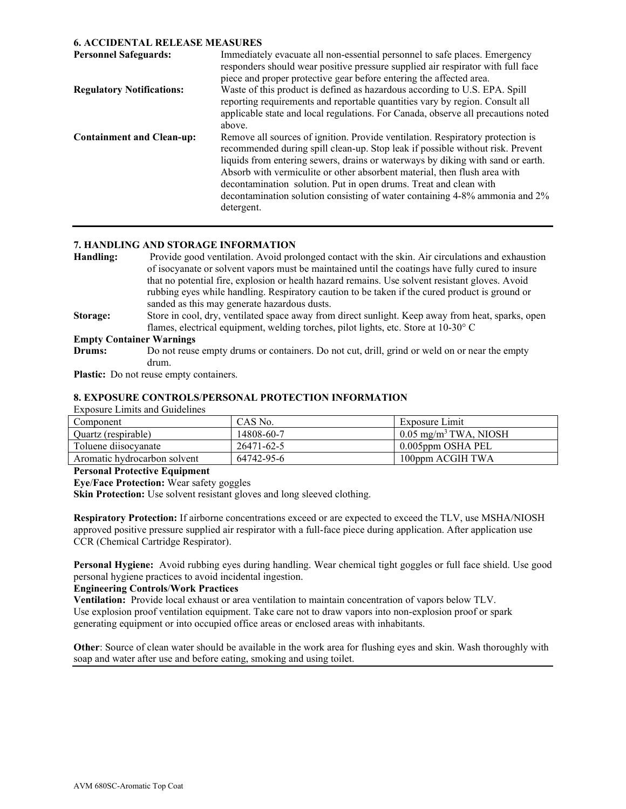#### **6. ACCIDENTAL RELEASE MEASURES**

| <b>Personnel Safeguards:</b>     | Immediately evacuate all non-essential personnel to safe places. Emergency<br>responders should wear positive pressure supplied air respirator with full face<br>piece and proper protective gear before entering the affected area.                                                                                                                                                                                                                                                               |
|----------------------------------|----------------------------------------------------------------------------------------------------------------------------------------------------------------------------------------------------------------------------------------------------------------------------------------------------------------------------------------------------------------------------------------------------------------------------------------------------------------------------------------------------|
| <b>Regulatory Notifications:</b> | Waste of this product is defined as hazardous according to U.S. EPA. Spill<br>reporting requirements and reportable quantities vary by region. Consult all<br>applicable state and local regulations. For Canada, observe all precautions noted<br>above.                                                                                                                                                                                                                                          |
| <b>Containment and Clean-up:</b> | Remove all sources of ignition. Provide ventilation. Respiratory protection is<br>recommended during spill clean-up. Stop leak if possible without risk. Prevent<br>liquids from entering sewers, drains or waterways by diking with sand or earth.<br>Absorb with vermiculite or other absorbent material, then flush area with<br>decontamination solution. Put in open drums. Treat and clean with<br>decontamination solution consisting of water containing 4-8% ammonia and 2%<br>detergent. |

#### **7. HANDLING AND STORAGE INFORMATION**

| Handling:                       | Provide good ventilation. Avoid prolonged contact with the skin. Air circulations and exhaustion  |
|---------------------------------|---------------------------------------------------------------------------------------------------|
|                                 | of isocyanate or solvent vapors must be maintained until the coatings have fully cured to insure  |
|                                 | that no potential fire, explosion or health hazard remains. Use solvent resistant gloves. Avoid   |
|                                 | rubbing eyes while handling. Respiratory caution to be taken if the cured product is ground or    |
|                                 | sanded as this may generate hazardous dusts.                                                      |
| Storage:                        | Store in cool, dry, ventilated space away from direct sunlight. Keep away from heat, sparks, open |
|                                 | flames, electrical equipment, welding torches, pilot lights, etc. Store at 10-30° C               |
| <b>Empty Container Warnings</b> |                                                                                                   |
| Drums:                          | Do not reuse empty drums or containers. Do not cut, drill, grind or weld on or near the empty     |

drum. **Plastic:** Do not reuse empty containers.

#### **8. EXPOSURE CONTROLS**/**PERSONAL PROTECTION INFORMATION**

Exposure Limits and Guidelines

| Component                    | CAS No.    | Exposure Limit                      |
|------------------------------|------------|-------------------------------------|
| Quartz (respirable)          | 14808-60-7 | $0.05$ mg/m <sup>3</sup> TWA, NIOSH |
| Toluene diisocvanate         | 26471-62-5 | $0.005$ ppm OSHA PEL                |
| Aromatic hydrocarbon solvent | 64742-95-6 | 100ppm ACGIH TWA                    |

**Personal Protective Equipment**

**Eye**/**Face Protection:** Wear safety goggles

**Skin Protection:** Use solvent resistant gloves and long sleeved clothing.

**Respiratory Protection:** If airborne concentrations exceed or are expected to exceed the TLV, use MSHA/NIOSH approved positive pressure supplied air respirator with a full-face piece during application. After application use CCR (Chemical Cartridge Respirator).

**Personal Hygiene:** Avoid rubbing eyes during handling. Wear chemical tight goggles or full face shield. Use good personal hygiene practices to avoid incidental ingestion.

**Engineering Controls**/**Work Practices**

**Ventilation:** Provide local exhaust or area ventilation to maintain concentration of vapors below TLV. Use explosion proof ventilation equipment. Take care not to draw vapors into non-explosion proof or spark generating equipment or into occupied office areas or enclosed areas with inhabitants.

**Other**: Source of clean water should be available in the work area for flushing eyes and skin. Wash thoroughly with soap and water after use and before eating, smoking and using toilet.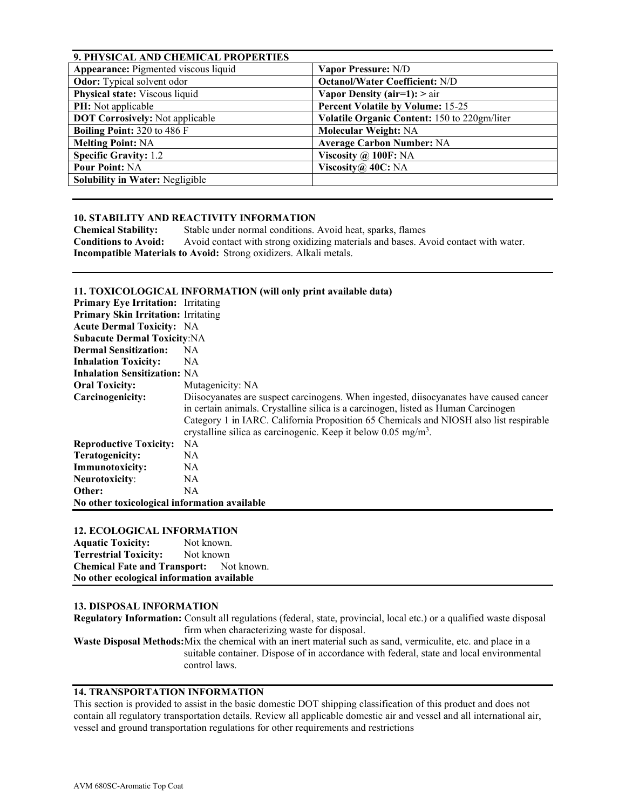| 9. PHYSICAL AND CHEMICAL PROPERTIES    |                                              |
|----------------------------------------|----------------------------------------------|
| Appearance: Pigmented viscous liquid   | Vapor Pressure: N/D                          |
| Odor: Typical solvent odor             | <b>Octanol/Water Coefficient: N/D</b>        |
| Physical state: Viscous liquid         | Vapor Density $(air=1):$ > air               |
| PH: Not applicable                     | <b>Percent Volatile by Volume: 15-25</b>     |
| <b>DOT Corrosively:</b> Not applicable | Volatile Organic Content: 150 to 220gm/liter |
| Boiling Point: 320 to 486 F            | <b>Molecular Weight: NA</b>                  |
| <b>Melting Point: NA</b>               | <b>Average Carbon Number: NA</b>             |
| <b>Specific Gravity: 1.2</b>           | Viscosity $\omega$ 100F: NA                  |
| Pour Point: NA                         | Viscosity@ $40C: NA$                         |
| <b>Solubility in Water: Negligible</b> |                                              |

# **10. STABILITY AND REACTIVITY INFORMATION**

Stable under normal conditions. Avoid heat, sparks, flames **Conditions to Avoid:** Avoid contact with strong oxidizing materials and bases. Avoid contact with water. **Incompatible Materials to Avoid:** Strong oxidizers. Alkali metals.

#### **11. TOXICOLOGICAL INFORMATION (will only print available data)**

| <b>Primary Eve Irritation:</b> Irritating    |                                                                                                                                                                                                                                                                                                                                                   |
|----------------------------------------------|---------------------------------------------------------------------------------------------------------------------------------------------------------------------------------------------------------------------------------------------------------------------------------------------------------------------------------------------------|
| <b>Primary Skin Irritation:</b> Irritating   |                                                                                                                                                                                                                                                                                                                                                   |
| <b>Acute Dermal Toxicity: NA</b>             |                                                                                                                                                                                                                                                                                                                                                   |
| <b>Subacute Dermal Toxicity: NA</b>          |                                                                                                                                                                                                                                                                                                                                                   |
| <b>Dermal Sensitization:</b>                 | NA.                                                                                                                                                                                                                                                                                                                                               |
| <b>Inhalation Toxicity:</b>                  | NA.                                                                                                                                                                                                                                                                                                                                               |
| <b>Inhalation Sensitization: NA</b>          |                                                                                                                                                                                                                                                                                                                                                   |
| <b>Oral Toxicity:</b>                        | Mutagenicity: NA                                                                                                                                                                                                                                                                                                                                  |
| Carcinogenicity:                             | Disocyanates are suspect carcinogens. When ingested, disocyanates have caused cancer<br>in certain animals. Crystalline silica is a carcinogen, listed as Human Carcinogen<br>Category 1 in IARC. California Proposition 65 Chemicals and NIOSH also list respirable<br>crystalline silica as carcinogenic. Keep it below $0.05 \text{ mg/m}^3$ . |
| <b>Reproductive Toxicity:</b>                | NA                                                                                                                                                                                                                                                                                                                                                |
| Teratogenicity:                              | NA                                                                                                                                                                                                                                                                                                                                                |
| Immunotoxicity:                              | NA.                                                                                                                                                                                                                                                                                                                                               |
| <b>Neurotoxicity:</b>                        | NA.                                                                                                                                                                                                                                                                                                                                               |
| Other:                                       | NA.                                                                                                                                                                                                                                                                                                                                               |
| No other toxicological information available |                                                                                                                                                                                                                                                                                                                                                   |

## **12. ECOLOGICAL INFORMATION**

Aquatic Toxicity: Not known. **Terrestrial Toxicity:** Not known **Chemical Fate and Transport:** Not known. **No other ecological information available**

#### **13. DISPOSAL INFORMATION**

**Regulatory Information:** Consult all regulations (federal, state, provincial, local etc.) or a qualified waste disposal firm when characterizing waste for disposal.

**Waste Disposal Methods:**Mix the chemical with an inert material such as sand, vermiculite, etc. and place in a suitable container. Dispose of in accordance with federal, state and local environmental control laws.

## **14. TRANSPORTATION INFORMATION**

This section is provided to assist in the basic domestic DOT shipping classification of this product and does not contain all regulatory transportation details. Review all applicable domestic air and vessel and all international air, vessel and ground transportation regulations for other requirements and restrictions